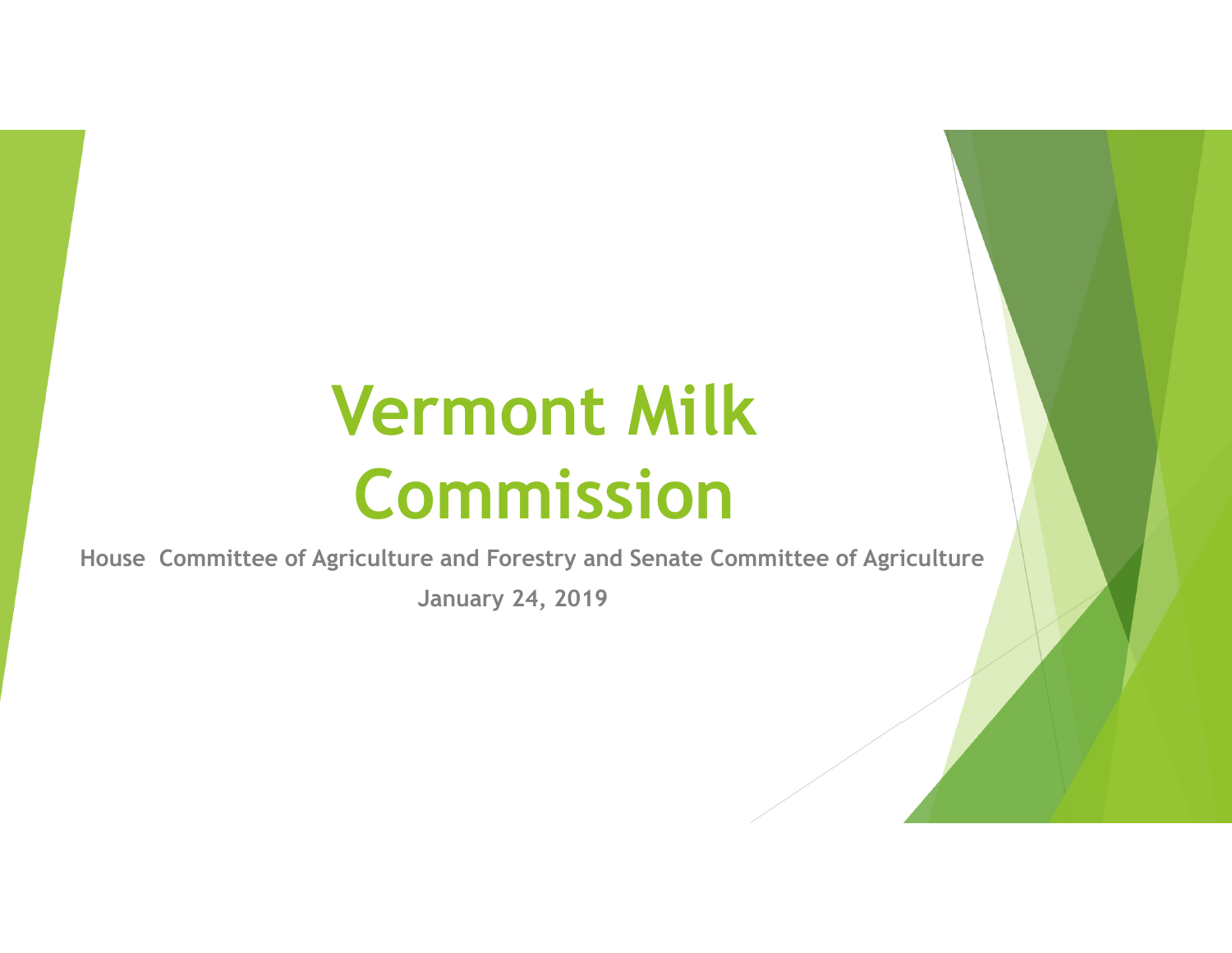**House Committee of Agriculture and Forestry and Senate Committee of Agriculture**

**January 24, 2019**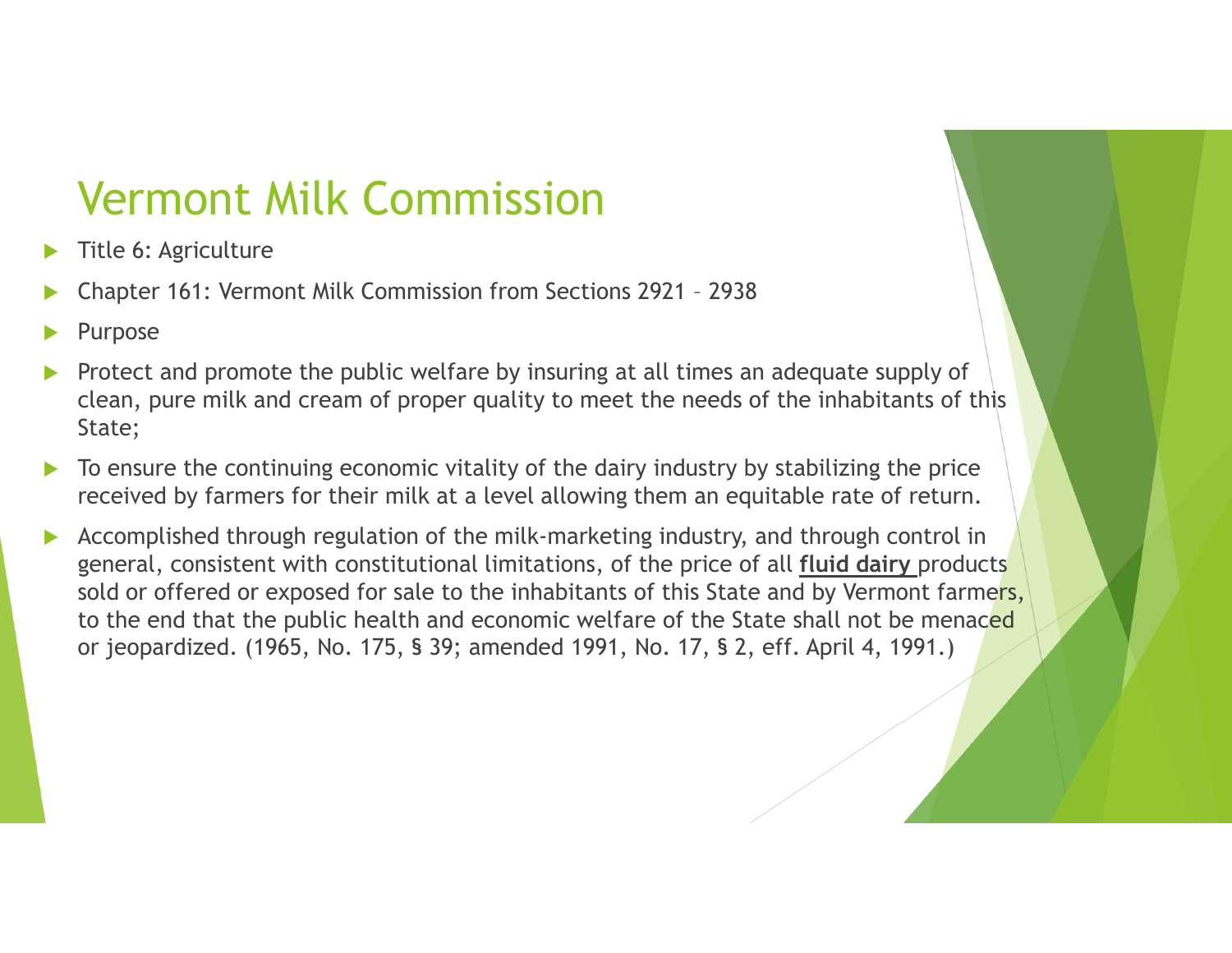- $\blacktriangleright$ Title 6: Agriculture
- $\blacktriangleright$ Chapter 161: Vermont Milk Commission from Sections 2921 – <sup>2938</sup>
- $\blacktriangleright$ Purpose
- $\blacktriangleright$  Protect and promote the public welfare by insuring at all times an adequate supply of clean, pure milk and cream of proper quality to meet the needs of the inhabitants of this State;
- $\blacktriangleright$  To ensure the continuing economic vitality of the dairy industry by stabilizing the price received by farmers for their milk at a level allowing them an equitable rate of return.
- $\blacktriangleright$  Accomplished through regulation of the milk-marketing industry, and through control in general, consistent with constitutional limitations, of the price of all **fluid dairy** products sold or offered or exposed for sale to the inhabitants of this State and by Vermont farmers, to the end that the public health and economic welfare of the State shall not be menaced or jeopardized. (1965, No. 175, § 39; amended 1991, No. 17, § 2, eff. April 4, 1991.)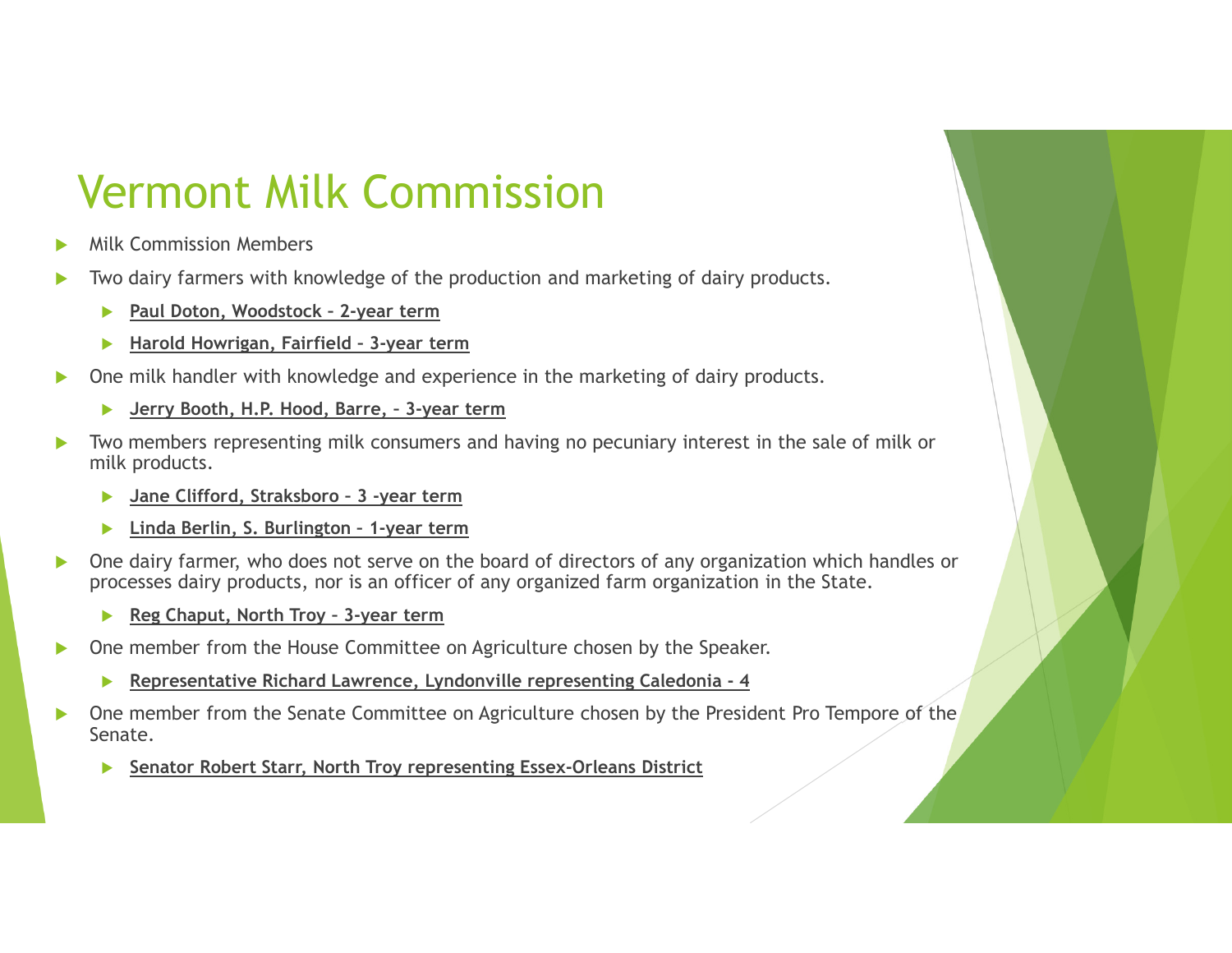- $\blacktriangleright$ Milk Commission Members
- $\blacktriangleright$  Two dairy farmers with knowledge of the production and marketing of dairy products.
	- $\blacktriangleright$ **Paul Doton, Woodstock – 2-year term**
	- **Harold Howrigan, Fairfield – 3-year term**ь
- One milk handler with knowledge and experience in the marketing of dairy products.  $\blacktriangleright$ 
	- ь **Jerry Booth, H.P. Hood, Barre, – 3-year term**
- $\blacktriangleright$  Two members representing milk consumers and having no pecuniary interest in the sale of milk or milk products.
	- ь **Jane Clifford, Straksboro – 3 -year term**
	- **Linda Berlin, S. Burlington – 1-year term** $\blacktriangleright$
- One dairy farmer, who does not serve on the board of directors of any organization which handles or  $\blacktriangleright$ processes dairy products, nor is an officer of any organized farm organization in the State.
	- ь **Reg Chaput, North Troy – 3-year term**
- $\blacktriangleright$  One member from the House Committee on Agriculture chosen by the Speaker.
	- ▶ **Representative Richard Lawrence, Lyndonville representing Caledonia - <sup>4</sup>**
- $\blacktriangleright$  One member from the Senate Committee on Agriculture chosen by the President Pro Tempore of the Senate.
	- $\blacktriangleright$ **Senator Robert Starr, North Troy representing Essex-Orleans District**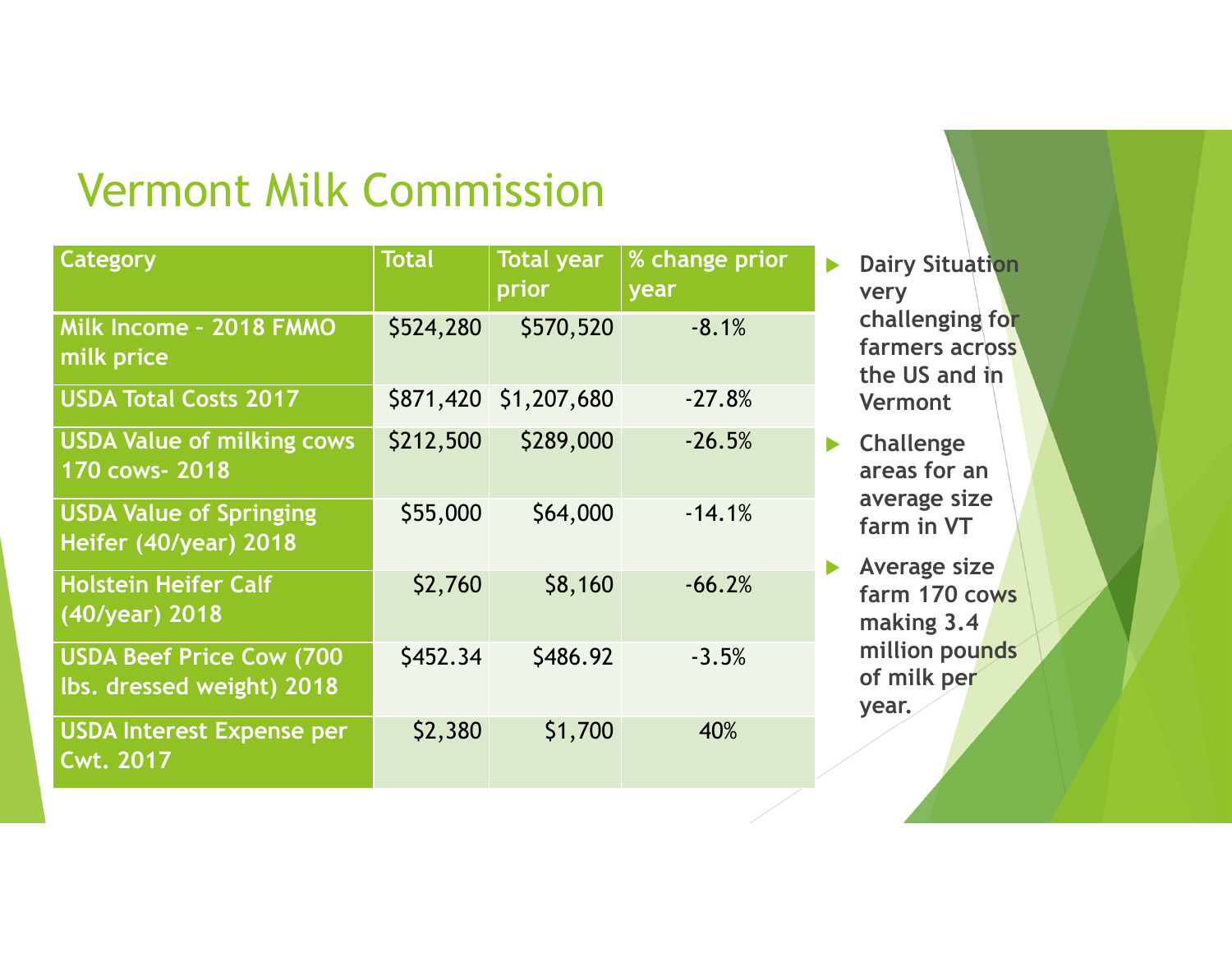| Category                                                     | <b>Total</b> | <b>Total year</b><br>prior | % change prior<br>year |
|--------------------------------------------------------------|--------------|----------------------------|------------------------|
| Milk Income - 2018 FMMO<br>milk price                        | \$524,280    | \$570,520                  | $-8.1%$                |
| <b>USDA Total Costs 2017</b>                                 |              | \$871,420 \$1,207,680      | $-27.8%$               |
| <b>USDA Value of milking cows</b><br>170 cows- 2018          | \$212,500    | \$289,000                  | $-26.5%$               |
| <b>USDA Value of Springing</b><br>Heifer (40/year) 2018      | \$55,000     | \$64,000                   | $-14.1%$               |
| <b>Holstein Heifer Calf</b><br>(40/year) 2018                | \$2,760      | \$8,160                    | $-66.2%$               |
| <b>USDA Beef Price Cow (700</b><br>lbs. dressed weight) 2018 | \$452.34     | \$486.92                   | $-3.5%$                |
| <b>USDA Interest Expense per</b><br><b>Cwt. 2017</b>         | \$2,380      | \$1,700                    | 40%                    |

 $\blacktriangleright$  **Dairy Situation very challenging for farmers across the US and in Vermont**

- **Challenge areas for an average size farm in VT**
- **Average size farm 170 cows making 3.4 million pounds of milk per year.**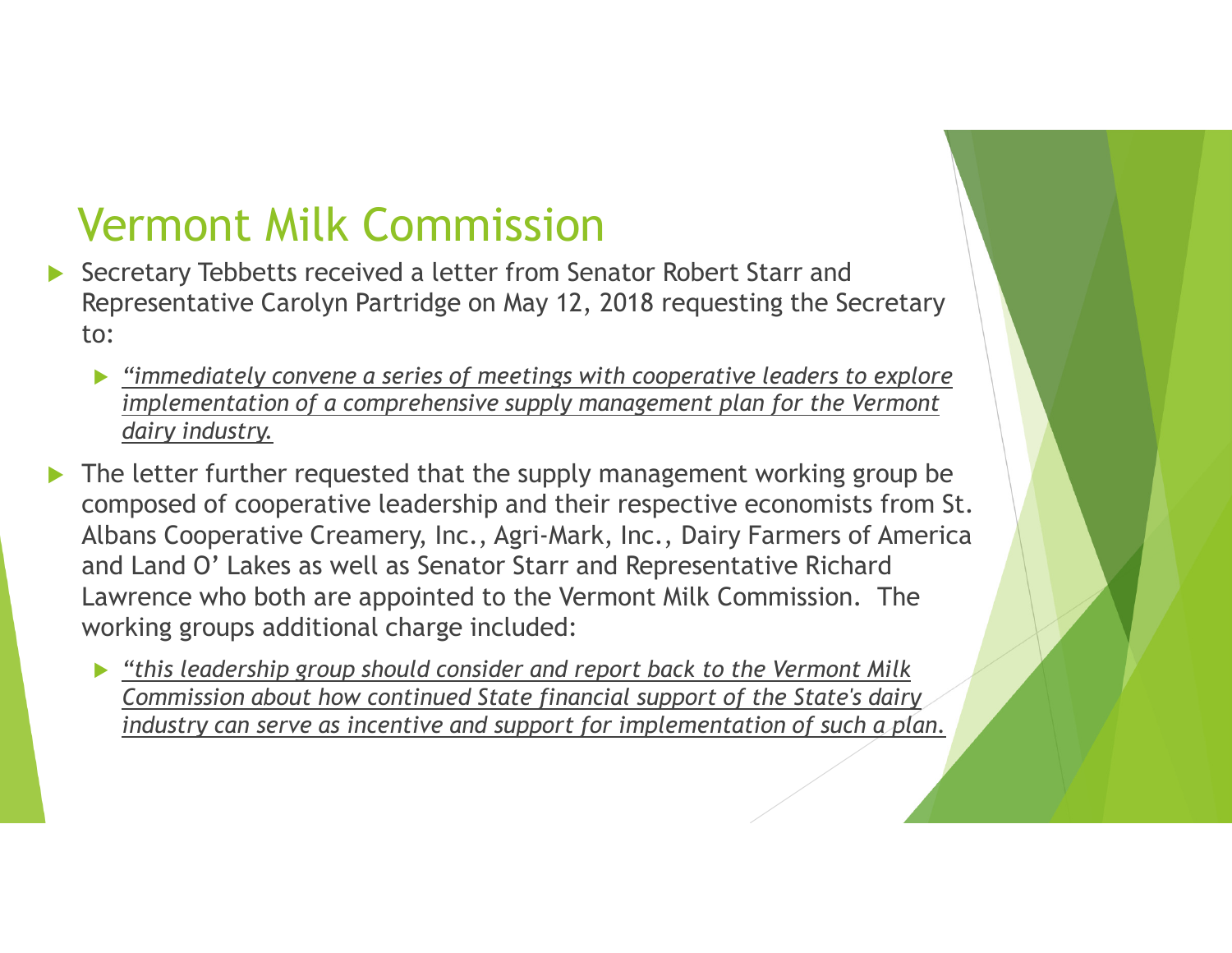- Secretary Tebbetts received a letter from Senator Robert Starr and<br>Remaxementius Cambre Pertridue on Hau 13, 2019 memorius the So Representative Carolyn Partridge on May 12, 2018 requesting the Secretary to:
	- $\blacktriangleright$  *"immediately convene a series of meetings with cooperative leaders to explore implementation of a comprehensive supply management plan for the Vermont dairy industry.*
- $\blacktriangleright$  The letter further requested that the supply management working group be composed of cooperative leadership and their respective economists from St. Albans Cooperative Creamery, Inc., Agri-Mark, Inc., Dairy Farmers of America and Land O' Lakes as well as Senator Starr and Representative Richard Lawrence who both are appointed to the Vermont Milk Commission. The working groups additional charge included:
	- *"this leadership group should consider and report back to the Vermont Milk Commission about how continued State financial support of the State's dairy industry can serve as incentive and support for implementation of such a plan.*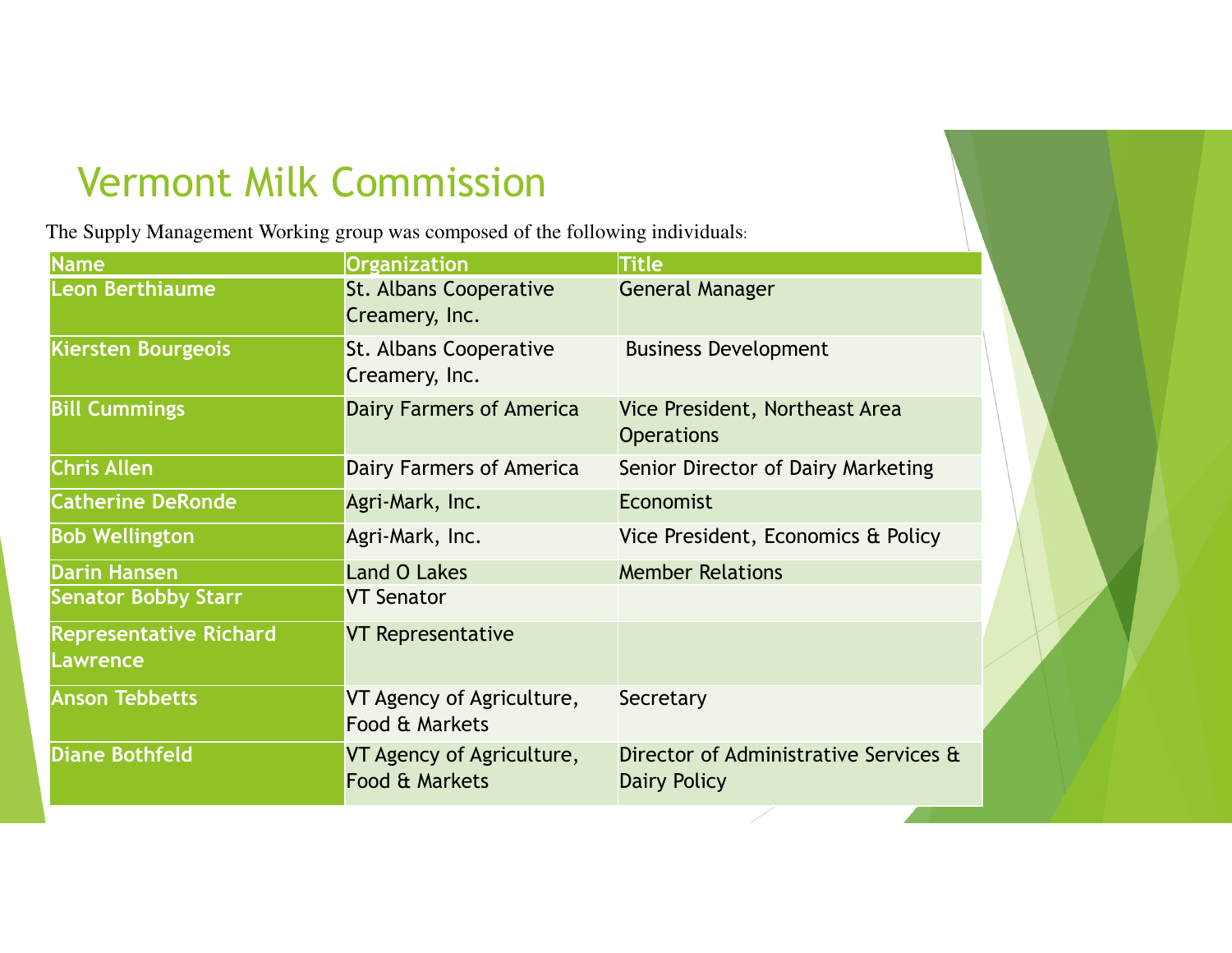The Supply Management Working group was composed of the following individuals:

| Name                                      | <b>Organization</b>                         | <b>Title</b>                                          |  |  |
|-------------------------------------------|---------------------------------------------|-------------------------------------------------------|--|--|
| Leon Berthiaume                           | St. Albans Cooperative<br>Creamery, Inc.    | <b>General Manager</b>                                |  |  |
| <b>Kiersten Bourgeois</b>                 | St. Albans Cooperative<br>Creamery, Inc.    | <b>Business Development</b>                           |  |  |
| <b>Bill Cummings</b>                      | <b>Dairy Farmers of America</b>             | Vice President, Northeast Area<br><b>Operations</b>   |  |  |
| <b>Chris Allen</b>                        | Dairy Farmers of America                    | Senior Director of Dairy Marketing                    |  |  |
| <b>Catherine DeRonde</b>                  | Agri-Mark, Inc.                             | Economist                                             |  |  |
| <b>Bob Wellington</b>                     | Agri-Mark, Inc.                             | Vice President, Economics & Policy                    |  |  |
| <b>Darin Hansen</b>                       | <b>Land O Lakes</b>                         | <b>Member Relations</b>                               |  |  |
| <b>Senator Bobby Starr</b>                | <b>VT Senator</b>                           |                                                       |  |  |
| <b>Representative Richard</b><br>Lawrence | <b>VT Representative</b>                    |                                                       |  |  |
| <b>Anson Tebbetts</b>                     | VT Agency of Agriculture,<br>Food & Markets | Secretary                                             |  |  |
| <b>Diane Bothfeld</b>                     | VT Agency of Agriculture,<br>Food & Markets | Director of Administrative Services &<br>Dairy Policy |  |  |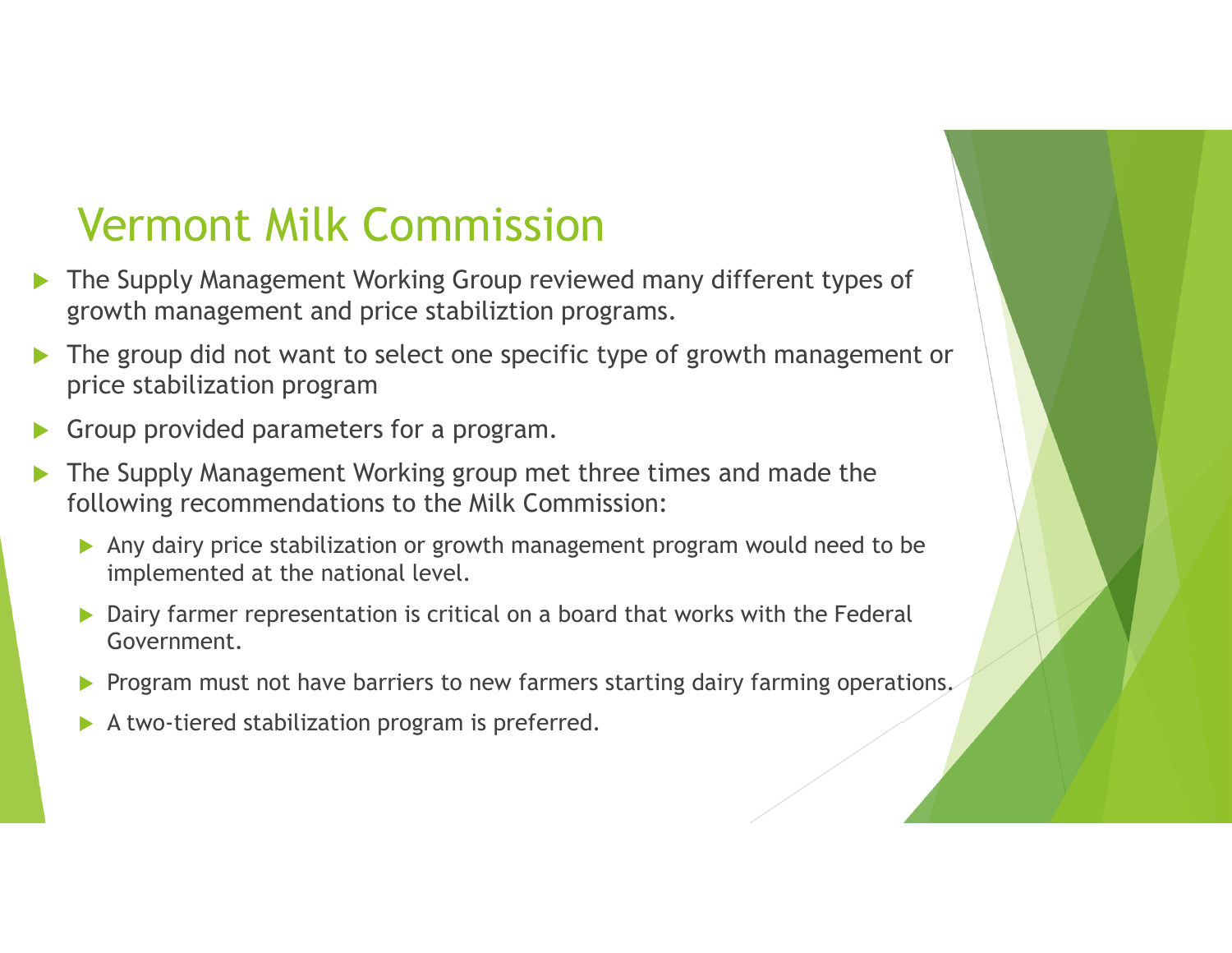- $\blacktriangleright$  The Supply Management Working Group reviewed many different types of growth management and price stabiliztion programs.
- $\blacktriangleright$  The group did not want to select one specific type of growth management or price stabilization program
- $\blacktriangleright$ Group provided parameters for a program.
- $\blacktriangleright$  The Supply Management Working group met three times and made the following recommendations to the Milk Commission:
	- Any dairy price stabilization or growth management program would need to be implemented at the national level.
	- **Dairy farmer representation is critical on a board that works with the Federal Communisty** Government.
	- **Program must not have barriers to new farmers starting dairy farming operations.**
	- $\blacktriangleright$ A two-tiered stabilization program is preferred.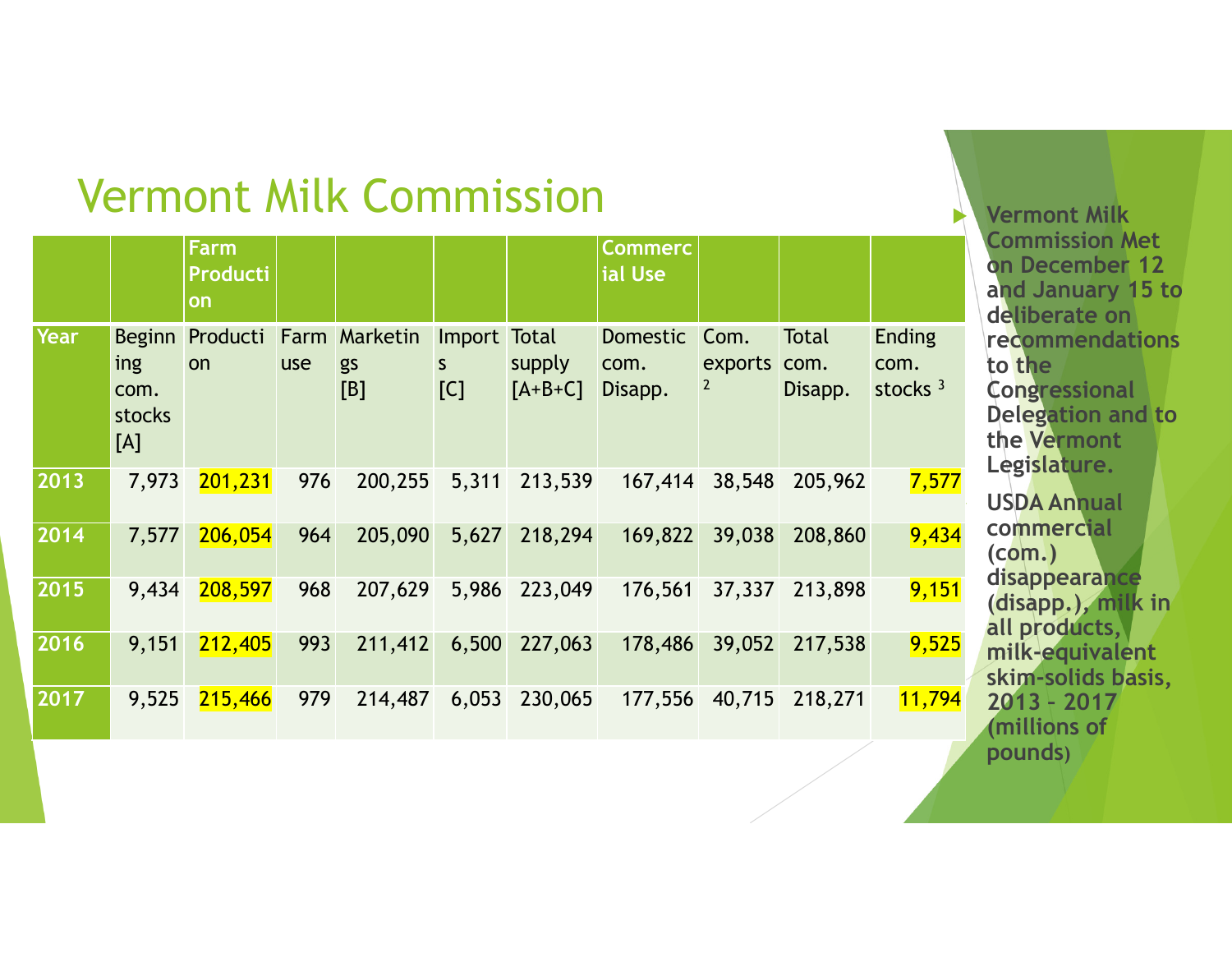|      |                              | Farm<br><b>Producti</b><br>on |     |                                   |                          |                     | <b>Commerc</b><br>ial Use          |                           |                  |                                     |
|------|------------------------------|-------------------------------|-----|-----------------------------------|--------------------------|---------------------|------------------------------------|---------------------------|------------------|-------------------------------------|
| Year | ing<br>com.<br>stocks<br>[A] | Beginn Producti<br>on         | use | <b>Farm Marketin</b><br>gs<br>[B] | Import Total<br>S<br>[C] | supply<br>$[A+B+C]$ | <b>Domestic</b><br>com.<br>Disapp. | Com.<br>exports com.<br>2 | Total<br>Disapp. | <b>Ending</b><br>com.<br>stocks $3$ |
| 2013 | 7,973                        | 201,231                       | 976 | 200,255                           | 5,311                    | 213,539             | 167,414                            | 38,548                    | 205,962          | 7,577                               |
| 2014 | 7,577                        | 206,054                       | 964 | 205,090                           | 5,627                    | 218,294             | 169,822                            | 39,038                    | 208,860          | 9,434                               |
| 2015 | 9,434                        | 208,597                       | 968 | 207,629                           | 5,986                    | 223,049             | 176,561                            | 37,337                    | 213,898          | 9,151                               |
| 2016 | 9,151                        | 212,405                       | 993 | 211,412                           | 6,500                    | 227,063             | 178,486                            | 39,052                    | 217,538          | 9,525                               |
| 2017 | 9,525                        | 215,466                       | 979 | 214,487                           | 6,053                    | 230,065             | 177,556                            | 40,715                    | 218,271          | 11,794                              |

 **Vermont Milk Commission Met on December 12 and January 15 to deliberate on recommendations to the Congressional Delegation and to the Vermont Legislature. USDA Annual commercial (com.) disappearance (disapp.), milk in all products, milk-equivalent skim-solids basis, 2013 – <sup>2017</sup> (millions of pounds)**

H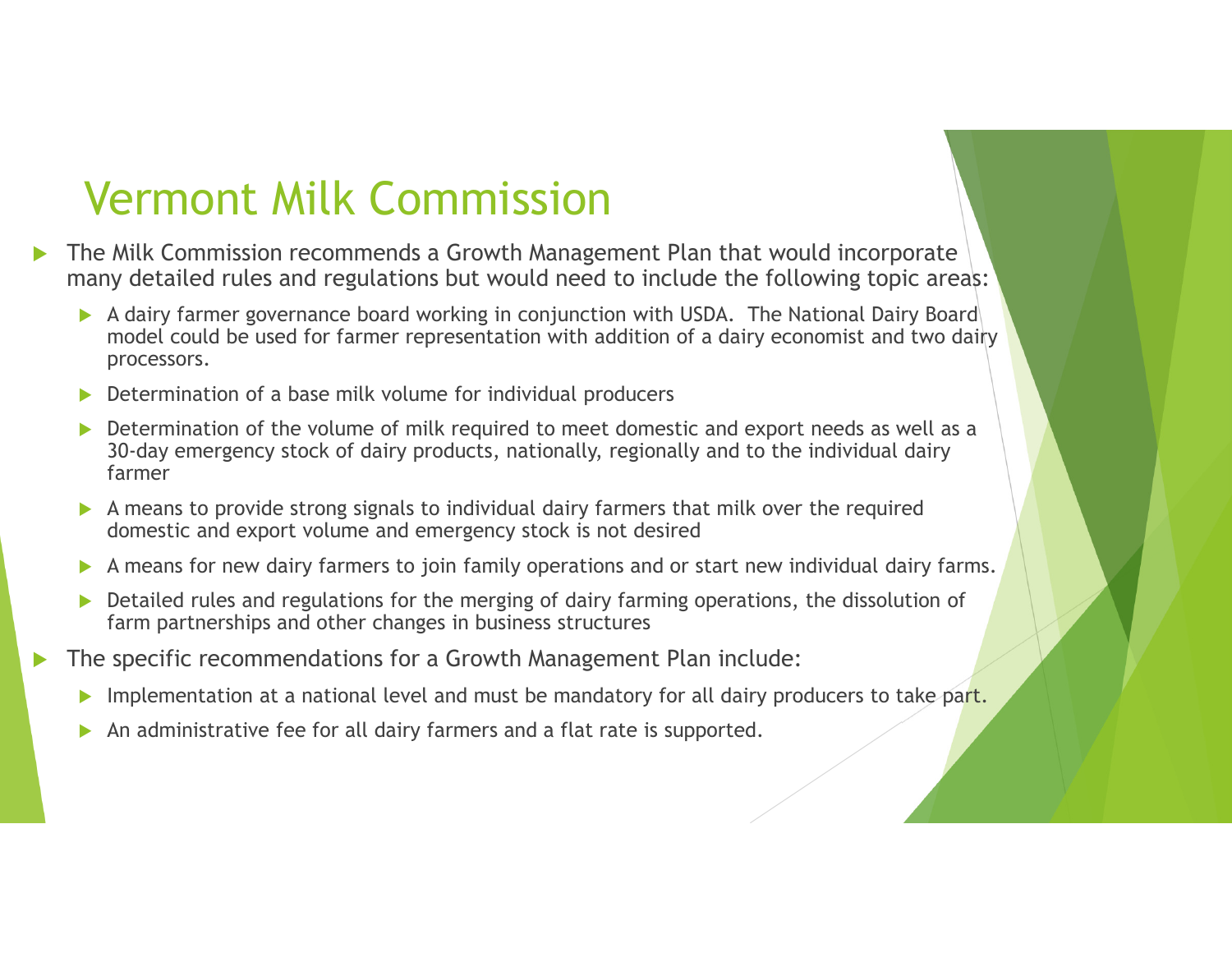- $\blacktriangleright$  The Milk Commission recommends a Growth Management Plan that would incorporate many detailed rules and regulations but would need to include the following topic areas:
	- A dairy farmer governance board working in conjunction with USDA. The National Dairy Board model could be used for farmer representation with addition of a dairy economist and two dairy processors.
	- $\blacktriangleright$ Determination of a base milk volume for individual producers
	- $\blacktriangleright$  Determination of the volume of milk required to meet domestic and export needs as well as a 30-day emergency stock of dairy products, nationally, regionally and to the individual dairy farmer
	- A means to provide strong signals to individual dairy farmers that milk over the required<br>demositie and overst volume and emergency stock is not desired domestic and export volume and emergency stock is not desired
	- $\blacktriangleright$ A means for new dairy farmers to join family operations and or start new individual dairy farms.
	- $\blacktriangleright$  Detailed rules and regulations for the merging of dairy farming operations, the dissolution of farm partnerships and other changes in business structures
- $\blacktriangleright$  The specific recommendations for a Growth Management Plan include:
	- $\blacktriangleright$ Implementation at a national level and must be mandatory for all dairy producers to take part.
	- $\blacktriangleright$ An administrative fee for all dairy farmers and a flat rate is supported.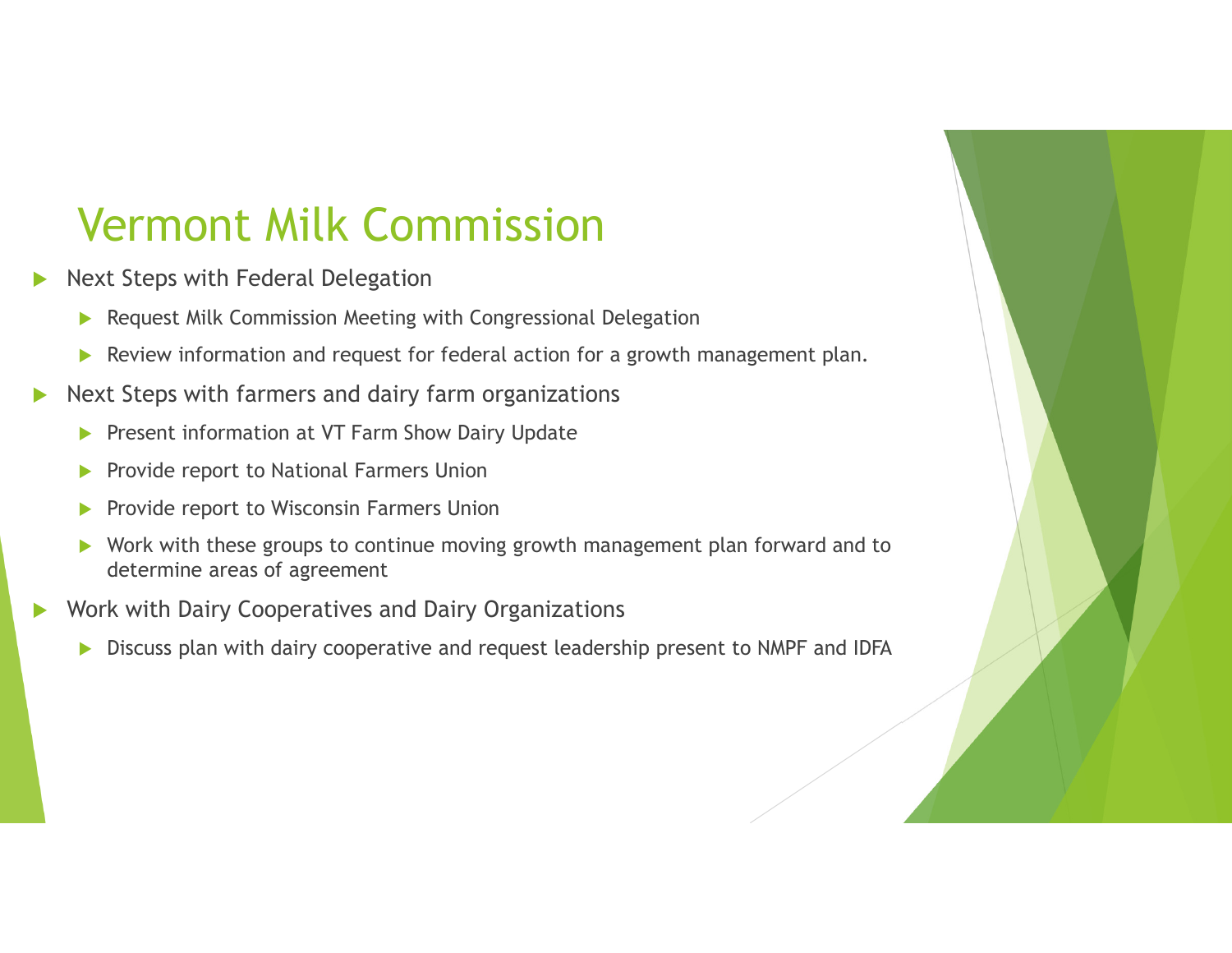- $\blacktriangleright$  Next Steps with Federal Delegation
	- $\blacktriangleright$ Request Milk Commission Meeting with Congressional Delegation
	- $\blacktriangleright$ Review information and request for federal action for a growth management plan.
- $\blacktriangleright$ ▶ Next Steps with farmers and dairy farm organizations
	- $\blacktriangleright$ Present information at VT Farm Show Dairy Update
	- $\blacktriangleright$ Provide report to National Farmers Union
	- $\blacktriangleright$ Provide report to Wisconsin Farmers Union
	- $\blacktriangleright$  Work with these groups to continue moving growth management plan forward and to determine areas of agreement
- $\blacktriangleright$  Work with Dairy Cooperatives and Dairy Organizations
	- $\blacktriangleright$ Discuss plan with dairy cooperative and request leadership present to NMPF and IDFA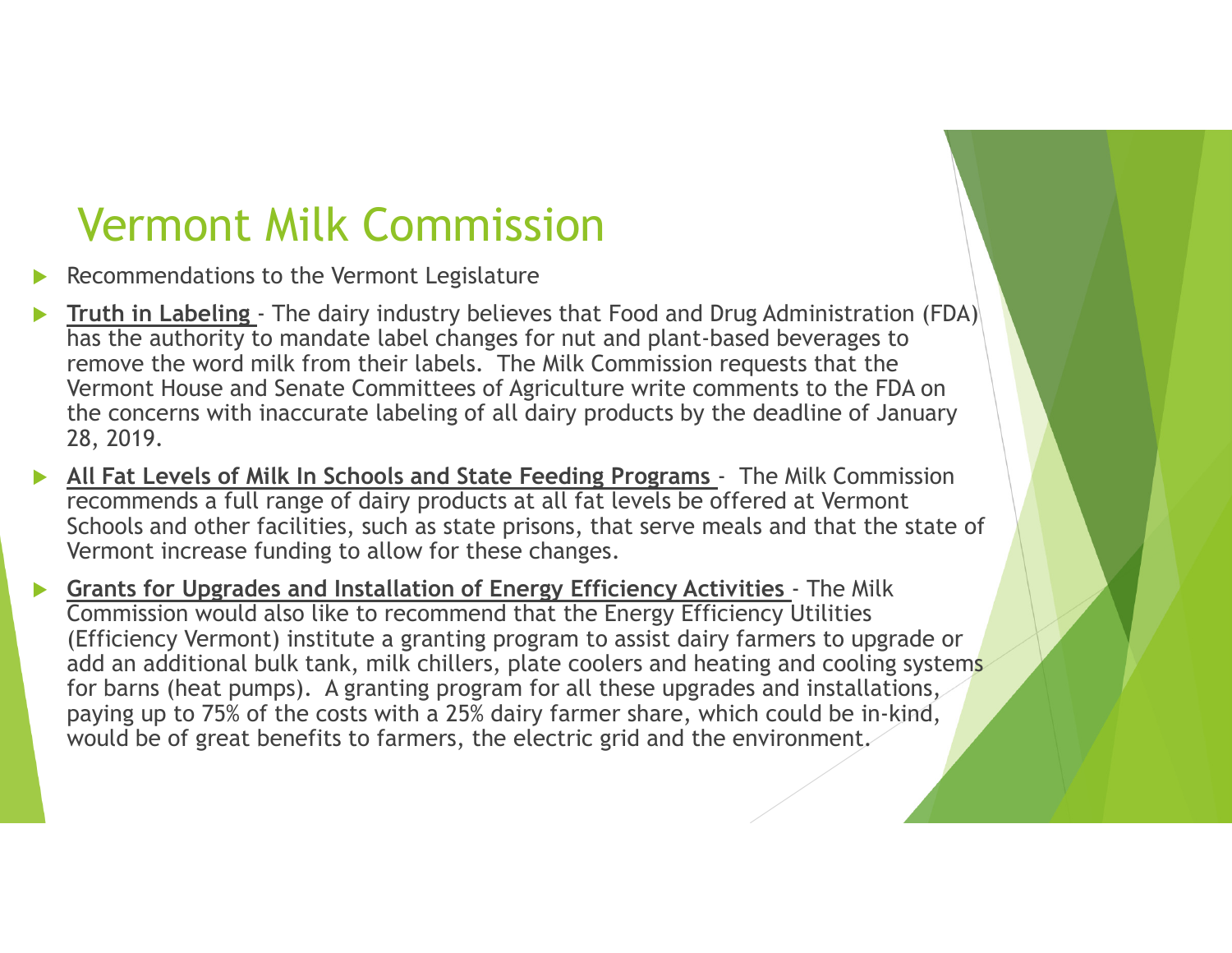- $\blacktriangleright$ Recommendations to the Vermont Legislature
- $\blacktriangleright$  **Truth in Labeling** - The dairy industry believes that Food and Drug Administration (FDA) has the authority to mandate label changes for nut and plant-based beverages to remove the word milk from their labels. The Milk Commission requests that the Vermont House and Senate Committees of Agriculture write comments to the FDA on the concerns with inaccurate labeling of all dairy products by the deadline of January 28, 2019.
- $\blacktriangleright$  **All Fat Levels of Milk In Schools and State Feeding Programs** - The Milk Commission recommends a full range of dairy products at all fat levels be offered at Vermont Schools and other facilities, such as state prisons, that serve meals and that the state of Vermont increase funding to allow for these changes.
- $\blacktriangleright$  **Grants for Upgrades and Installation of Energy Efficiency Activities** - The Milk Commission would also like to recommend that the Energy Efficiency Utilities (Efficiency Vermont) institute a granting program to assist dairy farmers to upgrade or add an additional bulk tank, milk chillers, plate coolers and heating and cooling systems for barns (heat pumps). A granting program for all these upgrades and installations, paying up to 75% of the costs with a 25% dairy farmer share, which could be in-kind, would be of great benefits to farmers, the electric grid and the environment.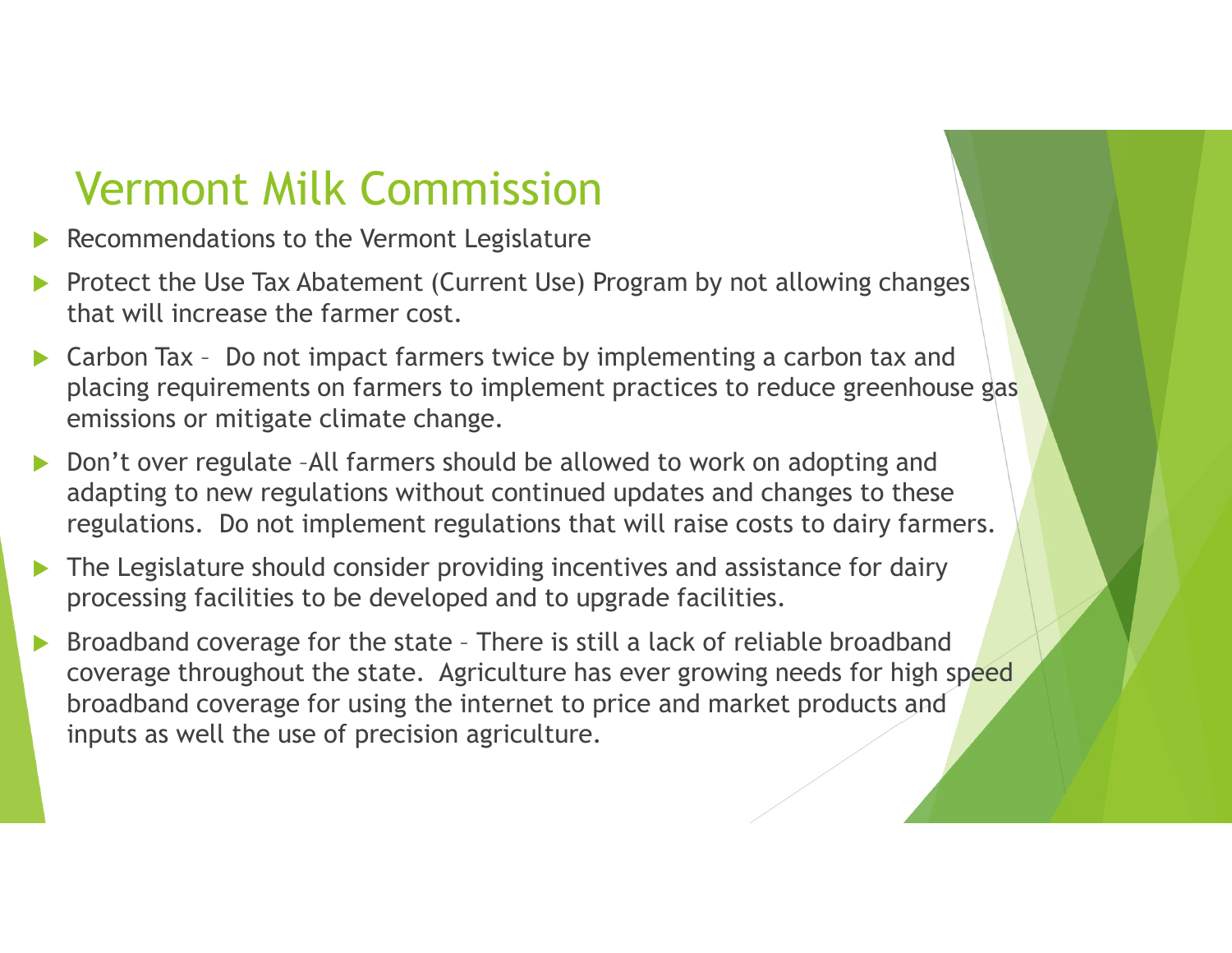- Recommendations to the Vermont Legislature  $\blacktriangleright$
- $\blacktriangleright$  Protect the Use Tax Abatement (Current Use) Program by not allowing changes that will increase the farmer cost.
- $\blacktriangleright$  Carbon Tax – Do not impact farmers twice by implementing a carbon tax and placing requirements on farmers to implement practices to reduce greenhouse gas emissions or mitigate climate change.
- $\blacktriangleright$  Don't over regulate –All farmers should be allowed to work on adopting and adapting to new regulations without continued updates and changes to these regulations. Do not implement regulations that will raise costs to dairy farmers.
- $\blacktriangleright$  The Legislature should consider providing incentives and assistance for dairy processing facilities to be developed and to upgrade facilities.
- $\blacktriangleright$  Broadband coverage for the state – There is still a lack of reliable broadband coverage throughout the state. Agriculture has ever growing needs for high speed broadband coverage for using the internet to price and market products and inputs as well the use of precision agriculture.